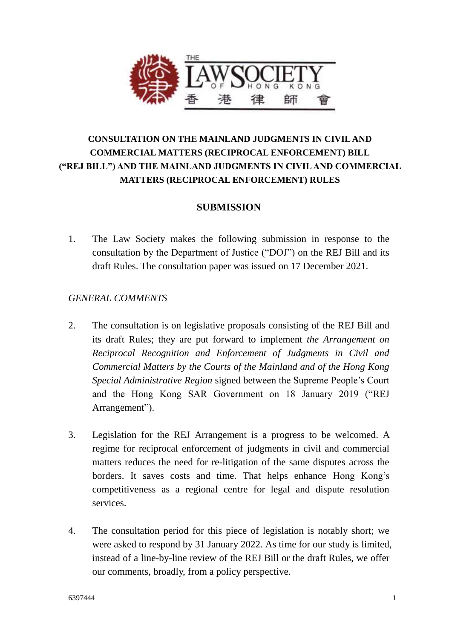

# **CONSULTATION ON THE MAINLAND JUDGMENTS IN CIVIL AND COMMERCIAL MATTERS (RECIPROCAL ENFORCEMENT) BILL ("REJ BILL") AND THE MAINLAND JUDGMENTS IN CIVIL AND COMMERCIAL MATTERS (RECIPROCAL ENFORCEMENT) RULES**

## **SUBMISSION**

1. The Law Society makes the following submission in response to the consultation by the Department of Justice ("DOJ") on the REJ Bill and its draft Rules. The consultation paper was issued on 17 December 2021.

### *GENERAL COMMENTS*

- 2. The consultation is on legislative proposals consisting of the REJ Bill and its draft Rules; they are put forward to implement *the Arrangement on Reciprocal Recognition and Enforcement of Judgments in Civil and Commercial Matters by the Courts of the Mainland and of the Hong Kong Special Administrative Region* signed between the Supreme People's Court and the Hong Kong SAR Government on 18 January 2019 ("REJ Arrangement").
- 3. Legislation for the REJ Arrangement is a progress to be welcomed. A regime for reciprocal enforcement of judgments in civil and commercial matters reduces the need for re-litigation of the same disputes across the borders. It saves costs and time. That helps enhance Hong Kong's competitiveness as a regional centre for legal and dispute resolution services.
- 4. The consultation period for this piece of legislation is notably short; we were asked to respond by 31 January 2022. As time for our study is limited, instead of a line-by-line review of the REJ Bill or the draft Rules, we offer our comments, broadly, from a policy perspective.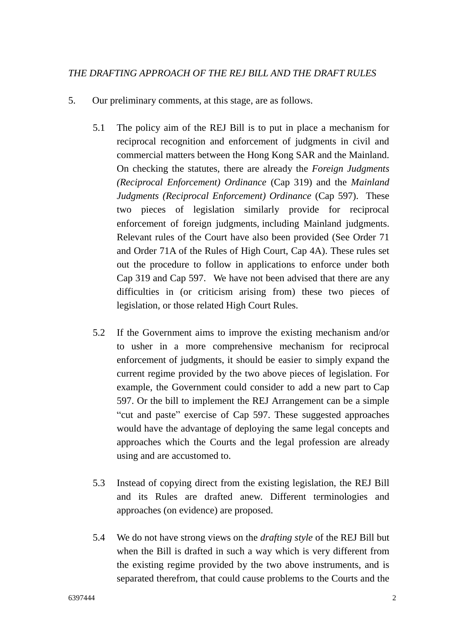- 5. Our preliminary comments, at this stage, are as follows.
	- 5.1 The policy aim of the REJ Bill is to put in place a mechanism for reciprocal recognition and enforcement of judgments in civil and commercial matters between the Hong Kong SAR and the Mainland. On checking the statutes, there are already the *Foreign Judgments (Reciprocal Enforcement) Ordinance* (Cap 319) and the *Mainland Judgments (Reciprocal Enforcement) Ordinance* (Cap 597). These two pieces of legislation similarly provide for reciprocal enforcement of foreign judgments, including Mainland judgments. Relevant rules of the Court have also been provided (See Order 71 and Order 71A of the Rules of High Court, Cap 4A). These rules set out the procedure to follow in applications to enforce under both Cap 319 and Cap 597. We have not been advised that there are any difficulties in (or criticism arising from) these two pieces of legislation, or those related High Court Rules.
	- 5.2 If the Government aims to improve the existing mechanism and/or to usher in a more comprehensive mechanism for reciprocal enforcement of judgments, it should be easier to simply expand the current regime provided by the two above pieces of legislation. For example, the Government could consider to add a new part to Cap 597. Or the bill to implement the REJ Arrangement can be a simple "cut and paste" exercise of Cap 597. These suggested approaches would have the advantage of deploying the same legal concepts and approaches which the Courts and the legal profession are already using and are accustomed to.
	- 5.3 Instead of copying direct from the existing legislation, the REJ Bill and its Rules are drafted anew. Different terminologies and approaches (on evidence) are proposed.
	- 5.4 We do not have strong views on the *drafting style* of the REJ Bill but when the Bill is drafted in such a way which is very different from the existing regime provided by the two above instruments, and is separated therefrom, that could cause problems to the Courts and the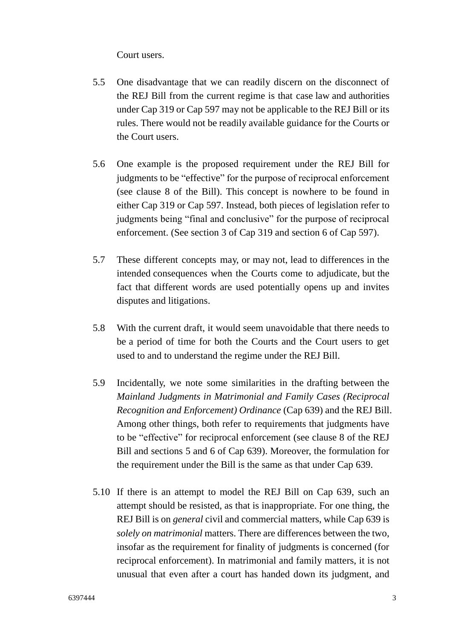Court users.

- <span id="page-2-0"></span>5.5 One disadvantage that we can readily discern on the disconnect of the REJ Bill from the current regime is that case law and authorities under Cap 319 or Cap 597 may not be applicable to the REJ Bill or its rules. There would not be readily available guidance for the Courts or the Court users.
- 5.6 One example is the proposed requirement under the REJ Bill for judgments to be "effective" for the purpose of reciprocal enforcement (see clause 8 of the Bill). This concept is nowhere to be found in either Cap 319 or Cap 597. Instead, both pieces of legislation refer to judgments being "final and conclusive" for the purpose of reciprocal enforcement. (See section 3 of Cap 319 and section 6 of Cap 597).
- 5.7 These different concepts may, or may not, lead to differences in the intended consequences when the Courts come to adjudicate, but the fact that different words are used potentially opens up and invites disputes and litigations.
- <span id="page-2-1"></span>5.8 With the current draft, it would seem unavoidable that there needs to be a period of time for both the Courts and the Court users to get used to and to understand the regime under the REJ Bill.
- 5.9 Incidentally, we note some similarities in the drafting between the *Mainland Judgments in Matrimonial and Family Cases (Reciprocal Recognition and Enforcement) Ordinance* (Cap 639) and the REJ Bill. Among other things, both refer to requirements that judgments have to be "effective" for reciprocal enforcement (see clause 8 of the REJ Bill and sections 5 and 6 of Cap 639). Moreover, the formulation for the requirement under the Bill is the same as that under Cap 639.
- 5.10 If there is an attempt to model the REJ Bill on Cap 639, such an attempt should be resisted, as that is inappropriate. For one thing, the REJ Bill is on *general* civil and commercial matters, while Cap 639 is *solely on matrimonial* matters. There are differences between the two, insofar as the requirement for finality of judgments is concerned (for reciprocal enforcement). In matrimonial and family matters, it is not unusual that even after a court has handed down its judgment, and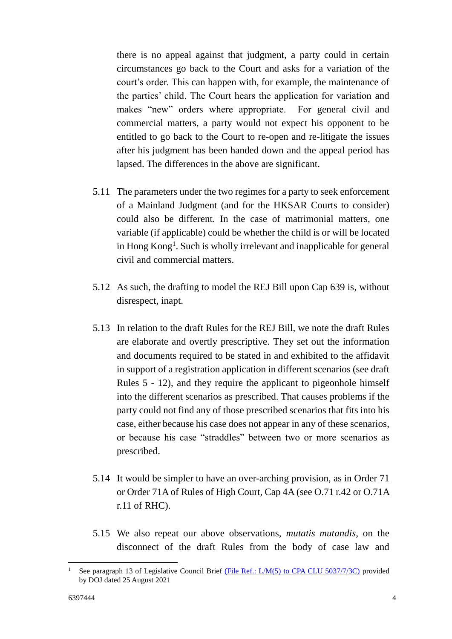there is no appeal against that judgment, a party could in certain circumstances go back to the Court and asks for a variation of the court's order. This can happen with, for example, the maintenance of the parties' child. The Court hears the application for variation and makes "new" orders where appropriate. For general civil and commercial matters, a party would not expect his opponent to be entitled to go back to the Court to re-open and re-litigate the issues after his judgment has been handed down and the appeal period has lapsed. The differences in the above are significant.

- 5.11 The parameters under the two regimes for a party to seek enforcement of a Mainland Judgment (and for the HKSAR Courts to consider) could also be different. In the case of matrimonial matters, one variable (if applicable) could be whether the child is or will be located in Hong Kong<sup>1</sup>. Such is wholly irrelevant and inapplicable for general civil and commercial matters.
- 5.12 As such, the drafting to model the REJ Bill upon Cap 639 is, without disrespect, inapt.
- 5.13 In relation to the draft Rules for the REJ Bill, we note the draft Rules are elaborate and overtly prescriptive. They set out the information and documents required to be stated in and exhibited to the affidavit in support of a registration application in different scenarios (see draft Rules 5 - 12), and they require the applicant to pigeonhole himself into the different scenarios as prescribed. That causes problems if the party could not find any of those prescribed scenarios that fits into his case, either because his case does not appear in any of these scenarios, or because his case "straddles" between two or more scenarios as prescribed.
- 5.14 It would be simpler to have an over-arching provision, as in Order 71 or Order 71A of Rules of High Court, Cap 4A (see O.71 r.42 or O.71A r.11 of RHC).
- 5.15 We also repeat our above observations, *mutatis mutandis*, on the disconnect of the draft Rules from the body of case law and

<sup>&</sup>lt;u>.</u> See paragraph 13 of Legislative Council Brief [\(File Ref.: L/M\(5\) to CPA CLU 5037/7/3C\)](https://www.legco.gov.hk/yr20-21/english/brief/lm5tocpaclu503773c_20210825-e.pdf) provided by DOJ dated 25 August 2021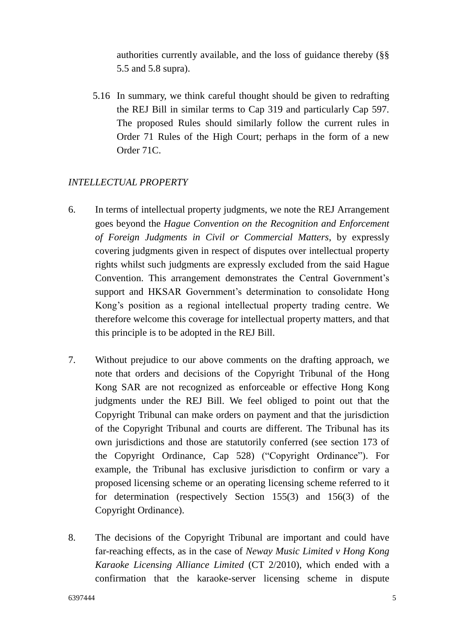authorities currently available, and the loss of guidance thereby (§§ [5.5](#page-2-0) and [5.8](#page-2-1) supra).

5.16 In summary, we think careful thought should be given to redrafting the REJ Bill in similar terms to Cap 319 and particularly Cap 597. The proposed Rules should similarly follow the current rules in Order 71 Rules of the High Court; perhaps in the form of a new Order 71C.

### *INTELLECTUAL PROPERTY*

- 6. In terms of intellectual property judgments, we note the REJ Arrangement goes beyond the *Hague Convention on the Recognition and Enforcement of Foreign Judgments in Civil or Commercial Matters*, by expressly covering judgments given in respect of disputes over intellectual property rights whilst such judgments are expressly excluded from the said Hague Convention. This arrangement demonstrates the Central Government's support and HKSAR Government's determination to consolidate Hong Kong's position as a regional intellectual property trading centre. We therefore welcome this coverage for intellectual property matters, and that this principle is to be adopted in the REJ Bill.
- 7. Without prejudice to our above comments on the drafting approach, we note that orders and decisions of the Copyright Tribunal of the Hong Kong SAR are not recognized as enforceable or effective Hong Kong judgments under the REJ Bill. We feel obliged to point out that the Copyright Tribunal can make orders on payment and that the jurisdiction of the Copyright Tribunal and courts are different. The Tribunal has its own jurisdictions and those are statutorily conferred (see section 173 of the Copyright Ordinance, Cap 528) ("Copyright Ordinance"). For example, the Tribunal has exclusive jurisdiction to confirm or vary a proposed licensing scheme or an operating licensing scheme referred to it for determination (respectively Section 155(3) and 156(3) of the Copyright Ordinance).
- 8. The decisions of the Copyright Tribunal are important and could have far-reaching effects, as in the case of *Neway Music Limited v Hong Kong Karaoke Licensing Alliance Limited* (CT 2/2010), which ended with a confirmation that the karaoke-server licensing scheme in dispute